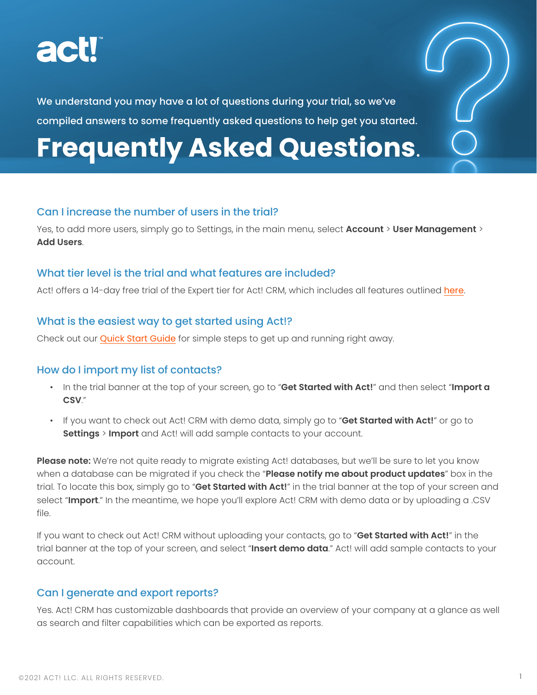

We understand you may have a lot of questions during your trial, so we've compiled answers to some frequently asked questions to help get you started.

# **Frequently Asked Questions**.

# Can I increase the number of users in the trial?

Yes, to add more users, simply go to Settings, in the main menu, select **Account** > **User Management** > **Add Users**.

# What tier level is the trial and what features are included?

Act! offers a 14-day free trial of the Expert tier for Act! CRM, which includes all features outlined [here](https://www.act.com/products/pricing).

# What is the easiest way to get started using Act!?

Check out our [Quick Start Guide](https://www.act.com/docs/default-source/other/act-crm-quick-start-guide-final.pdf) for simple steps to get up and running right away.

# How do I import my list of contacts?

- In the trial banner at the top of your screen, go to "**Get Started with Act!**" and then select "**Import a CSV**."
- If you want to check out Act! CRM with demo data, simply go to "**Get Started with Act!**" or go to **Settings** > **Import** and Act! will add sample contacts to your account.

**Please note:** We're not quite ready to migrate existing Act! databases, but we'll be sure to let you know when a database can be migrated if you check the "**Please notify me about product updates**" box in the trial. To locate this box, simply go to "**Get Started with Act!**" in the trial banner at the top of your screen and select "**Import**." In the meantime, we hope you'll explore Act! CRM with demo data or by uploading a .CSV file.

If you want to check out Act! CRM without uploading your contacts, go to "**Get Started with Act!**" in the trial banner at the top of your screen, and select "**Insert demo data**." Act! will add sample contacts to your account.

# Can I generate and export reports?

Yes. Act! CRM has customizable dashboards that provide an overview of your company at a glance as well as search and filter capabilities which can be exported as reports.